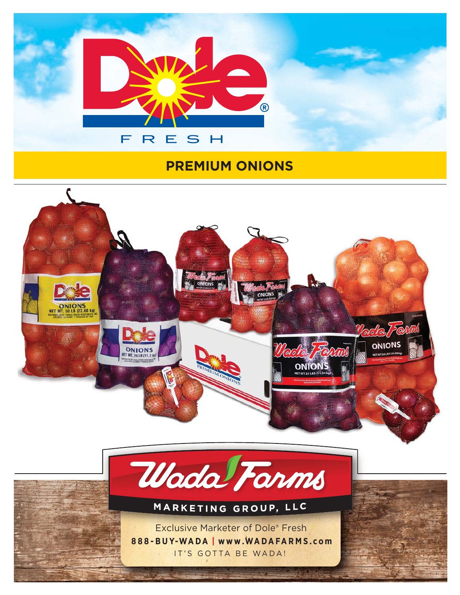

## **PREMIUM ONIONS**